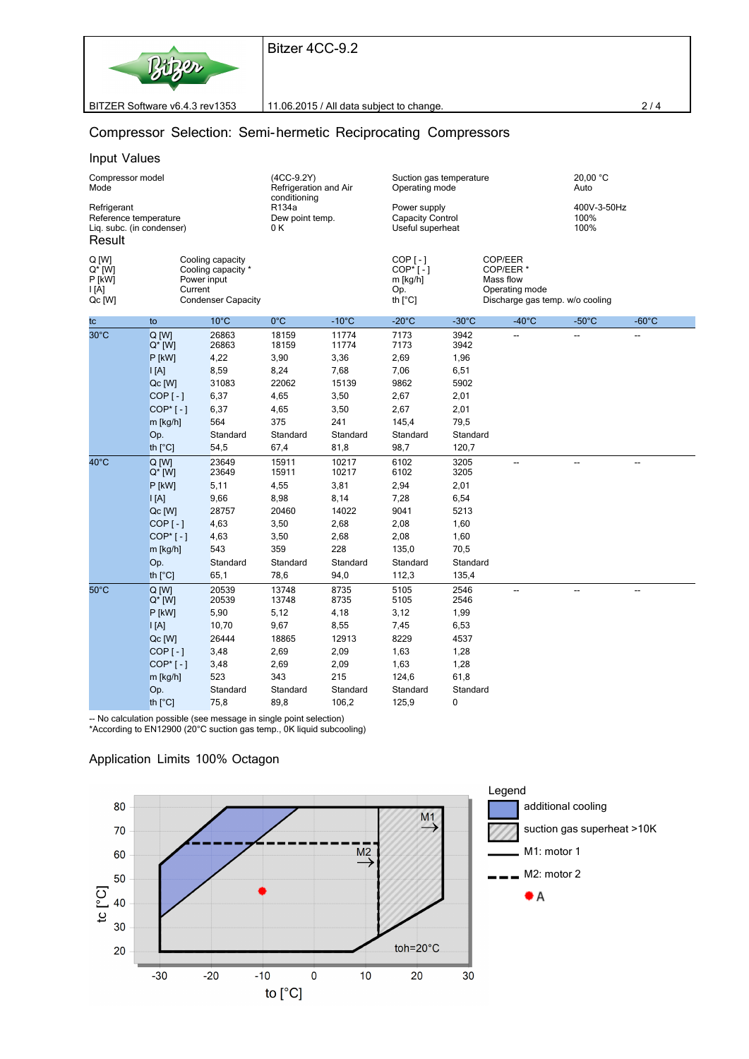

BITZER Software v6.4.3 rev1353 11.06.2015 / All data subject to change. 2 / 4

### **Compressor Selection: Semi-hermetic Reciprocating Compressors**

#### *Input Values*

| Compressor model<br>Mode<br>Refrigerant<br>Reference temperature<br>Lig. subc. (in condenser)<br>Result |                      |                | $(4CC-9.2Y)$<br>Refrigeration and Air<br>conditioning<br>R134a<br>Dew point temp.<br>0 K |                 | Suction gas temperature<br>Operating mode<br>Power supply<br>Capacity Control<br>Useful superheat |                 |                          | 20,00 $^{\circ}$ C<br>Auto<br>400V-3-50Hz<br>100%<br>100% |                 |                                               |
|---------------------------------------------------------------------------------------------------------|----------------------|----------------|------------------------------------------------------------------------------------------|-----------------|---------------------------------------------------------------------------------------------------|-----------------|--------------------------|-----------------------------------------------------------|-----------------|-----------------------------------------------|
|                                                                                                         |                      |                |                                                                                          |                 |                                                                                                   |                 |                          |                                                           |                 | Q [W]<br>$Q^*$ [W]<br>P [kW]<br> A <br>Qc [W] |
| tc                                                                                                      | to                   | $10^{\circ}$ C | $0^{\circ}$ C                                                                            | $-10^{\circ}$ C | $-20^{\circ}$ C                                                                                   | $-30^{\circ}$ C | $-40^{\circ}$ C          | $-50^{\circ}$ C                                           | $-60^{\circ}$ C |                                               |
| 30°C                                                                                                    | Q [W]<br>$Q^*$ [W]   | 26863<br>26863 | 18159<br>18159                                                                           | 11774<br>11774  | 7173<br>7173                                                                                      | 3942<br>3942    | --                       | --                                                        | --              |                                               |
|                                                                                                         | $P$ [kW]             | 4,22           | 3,90                                                                                     | 3,36            | 2,69                                                                                              | 1,96            |                          |                                                           |                 |                                               |
|                                                                                                         | $\mathsf{I}$ [A]     | 8,59           | 8,24                                                                                     | 7,68            | 7,06                                                                                              | 6,51            |                          |                                                           |                 |                                               |
|                                                                                                         | Qc [W]               | 31083          | 22062                                                                                    | 15139           | 9862                                                                                              | 5902            |                          |                                                           |                 |                                               |
|                                                                                                         | $COP$ [-]            | 6,37           | 4,65                                                                                     | 3,50            | 2,67                                                                                              | 2,01            |                          |                                                           |                 |                                               |
|                                                                                                         | $COP*[ - ]$          | 6,37           | 4,65                                                                                     | 3,50            | 2,67                                                                                              | 2,01            |                          |                                                           |                 |                                               |
|                                                                                                         | m [kg/h]             | 564            | 375                                                                                      | 241             | 145,4                                                                                             | 79,5            |                          |                                                           |                 |                                               |
|                                                                                                         | Op.                  | Standard       | Standard                                                                                 | Standard        | Standard                                                                                          | Standard        |                          |                                                           |                 |                                               |
|                                                                                                         | th [°C]              | 54,5           | 67,4                                                                                     | 81,8            | 98,7                                                                                              | 120,7           |                          |                                                           |                 |                                               |
| $40^{\circ}$ C                                                                                          | $Q$ [W]<br>$Q^*$ [W] | 23649<br>23649 | 15911<br>15911                                                                           | 10217<br>10217  | 6102<br>6102                                                                                      | 3205<br>3205    | --                       | --                                                        | --              |                                               |
|                                                                                                         | P [kW]               | 5,11           | 4,55                                                                                     | 3,81            | 2,94                                                                                              | 2,01            |                          |                                                           |                 |                                               |
|                                                                                                         | A                    | 9,66           | 8,98                                                                                     | 8,14            | 7,28                                                                                              | 6,54            |                          |                                                           |                 |                                               |
|                                                                                                         | Qc [W]               | 28757          | 20460                                                                                    | 14022           | 9041                                                                                              | 5213            |                          |                                                           |                 |                                               |
|                                                                                                         | $COP$ [-]            | 4,63           | 3,50                                                                                     | 2,68            | 2,08                                                                                              | 1,60            |                          |                                                           |                 |                                               |
|                                                                                                         | $COP*[ - ]$          | 4,63           | 3,50                                                                                     | 2,68            | 2,08                                                                                              | 1,60            |                          |                                                           |                 |                                               |
|                                                                                                         | m [kg/h]             | 543            | 359                                                                                      | 228             | 135,0                                                                                             | 70,5            |                          |                                                           |                 |                                               |
|                                                                                                         | Op.                  | Standard       | Standard                                                                                 | Standard        | Standard                                                                                          | Standard        |                          |                                                           |                 |                                               |
|                                                                                                         | th [°C]              | 65,1           | 78,6                                                                                     | 94,0            | 112,3                                                                                             | 135,4           |                          |                                                           |                 |                                               |
| $50^{\circ}$ C                                                                                          | $Q$ [W]<br>$Q^*$ [W] | 20539<br>20539 | 13748<br>13748                                                                           | 8735<br>8735    | 5105<br>5105                                                                                      | 2546<br>2546    | $\overline{\phantom{a}}$ | -−                                                        | --              |                                               |
|                                                                                                         | P [kW]               | 5,90           | 5,12                                                                                     | 4,18            | 3,12                                                                                              | 1,99            |                          |                                                           |                 |                                               |
|                                                                                                         | $\mathsf{I}$ [A]     | 10,70          | 9,67                                                                                     | 8,55            | 7,45                                                                                              | 6,53            |                          |                                                           |                 |                                               |
|                                                                                                         | Qc [W]               | 26444          | 18865                                                                                    | 12913           | 8229                                                                                              | 4537            |                          |                                                           |                 |                                               |
|                                                                                                         | $COP$ [ $-$ ]        | 3,48           | 2,69                                                                                     | 2,09            | 1,63                                                                                              | 1,28            |                          |                                                           |                 |                                               |
|                                                                                                         | $COP*[ - ]$          | 3,48           | 2,69                                                                                     | 2,09            | 1,63                                                                                              | 1,28            |                          |                                                           |                 |                                               |
|                                                                                                         | m [kg/h]             | 523            | 343                                                                                      | 215             | 124,6                                                                                             | 61,8            |                          |                                                           |                 |                                               |
|                                                                                                         | Op.                  | Standard       | Standard                                                                                 | Standard        | Standard                                                                                          | Standard        |                          |                                                           |                 |                                               |
|                                                                                                         | th [°C]              | 75,8           | 89,8                                                                                     | 106,2           | 125,9                                                                                             | 0               |                          |                                                           |                 |                                               |

-- No calculation possible (see message in single point selection)

\*According to EN12900 (20°C suction gas temp., 0K liquid subcooling)

### *Application Limits 100% Octagon*